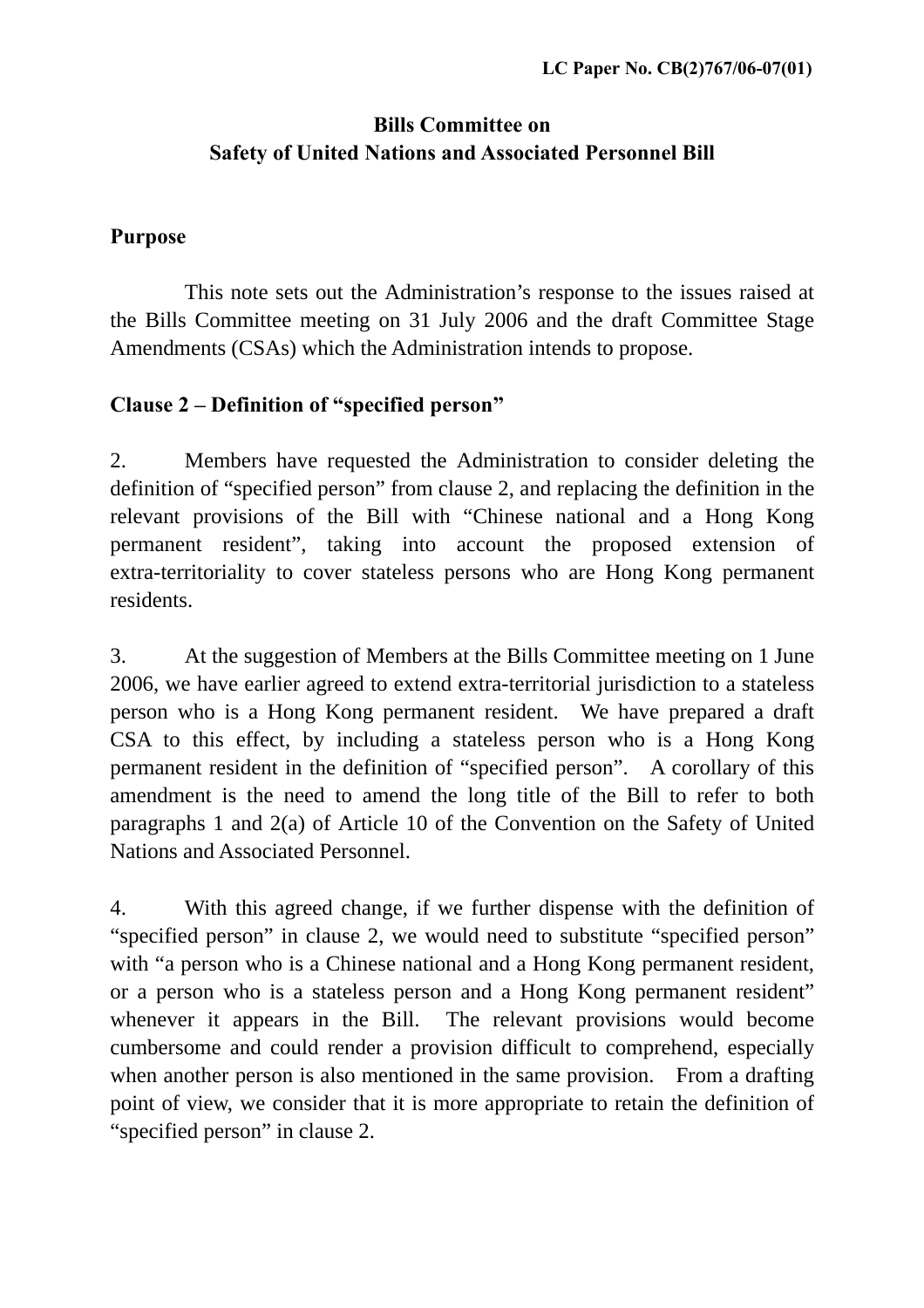# **Bills Committee on Safety of United Nations and Associated Personnel Bill**

## **Purpose**

 This note sets out the Administration's response to the issues raised at the Bills Committee meeting on 31 July 2006 and the draft Committee Stage Amendments (CSAs) which the Administration intends to propose.

## **Clause 2 – Definition of "specified person"**

2. Members have requested the Administration to consider deleting the definition of "specified person" from clause 2, and replacing the definition in the relevant provisions of the Bill with "Chinese national and a Hong Kong permanent resident", taking into account the proposed extension of extra-territoriality to cover stateless persons who are Hong Kong permanent residents.

3. At the suggestion of Members at the Bills Committee meeting on 1 June 2006, we have earlier agreed to extend extra-territorial jurisdiction to a stateless person who is a Hong Kong permanent resident. We have prepared a draft CSA to this effect, by including a stateless person who is a Hong Kong permanent resident in the definition of "specified person". A corollary of this amendment is the need to amend the long title of the Bill to refer to both paragraphs 1 and 2(a) of Article 10 of the Convention on the Safety of United Nations and Associated Personnel.

4. With this agreed change, if we further dispense with the definition of "specified person" in clause 2, we would need to substitute "specified person" with "a person who is a Chinese national and a Hong Kong permanent resident, or a person who is a stateless person and a Hong Kong permanent resident" whenever it appears in the Bill. The relevant provisions would become cumbersome and could render a provision difficult to comprehend, especially when another person is also mentioned in the same provision. From a drafting point of view, we consider that it is more appropriate to retain the definition of "specified person" in clause 2.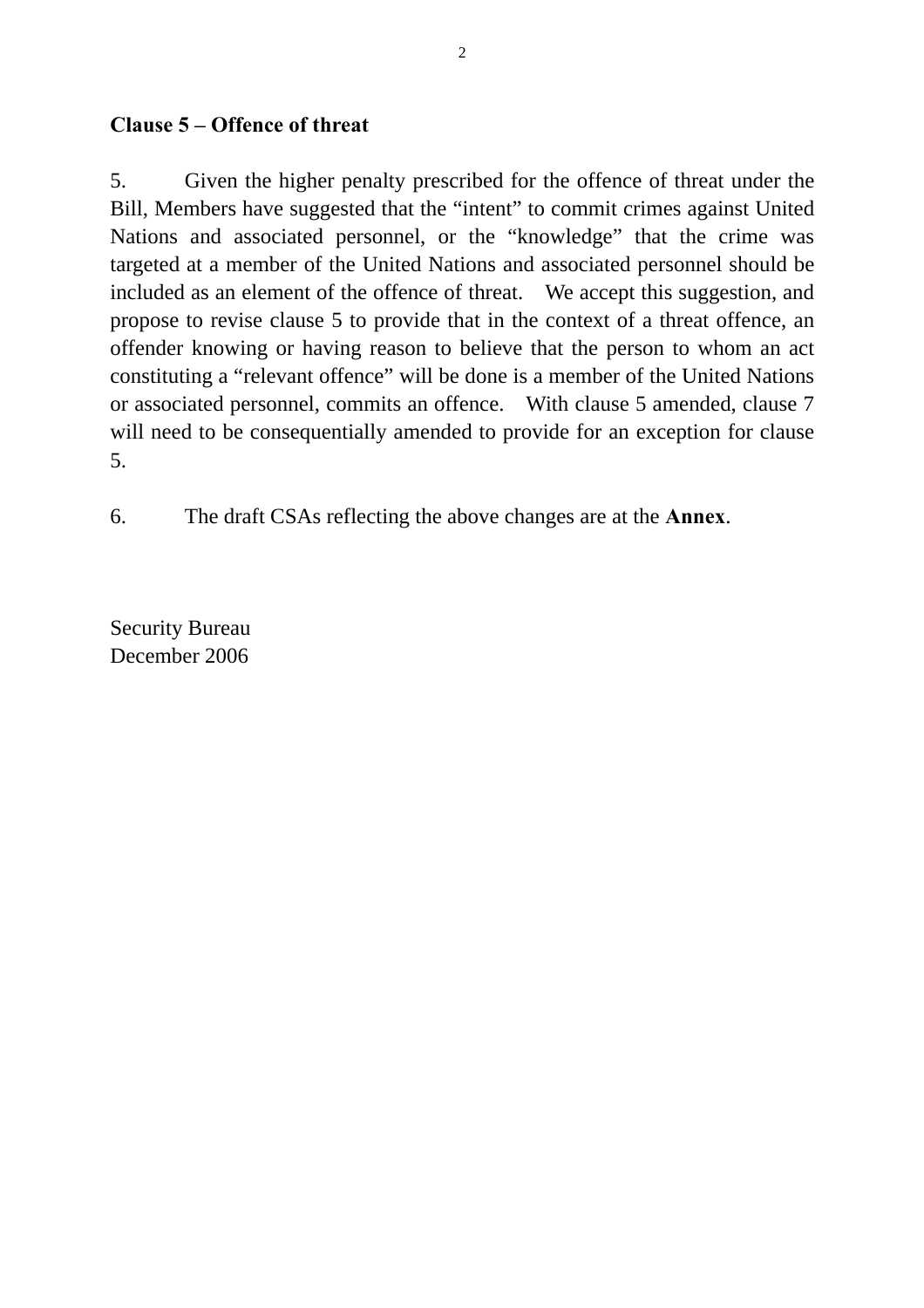### **Clause 5 – Offence of threat**

5. Given the higher penalty prescribed for the offence of threat under the Bill, Members have suggested that the "intent" to commit crimes against United Nations and associated personnel, or the "knowledge" that the crime was targeted at a member of the United Nations and associated personnel should be included as an element of the offence of threat. We accept this suggestion, and propose to revise clause 5 to provide that in the context of a threat offence, an offender knowing or having reason to believe that the person to whom an act constituting a "relevant offence" will be done is a member of the United Nations or associated personnel, commits an offence. With clause 5 amended, clause 7 will need to be consequentially amended to provide for an exception for clause 5.

6. The draft CSAs reflecting the above changes are at the **Annex**.

Security Bureau December 2006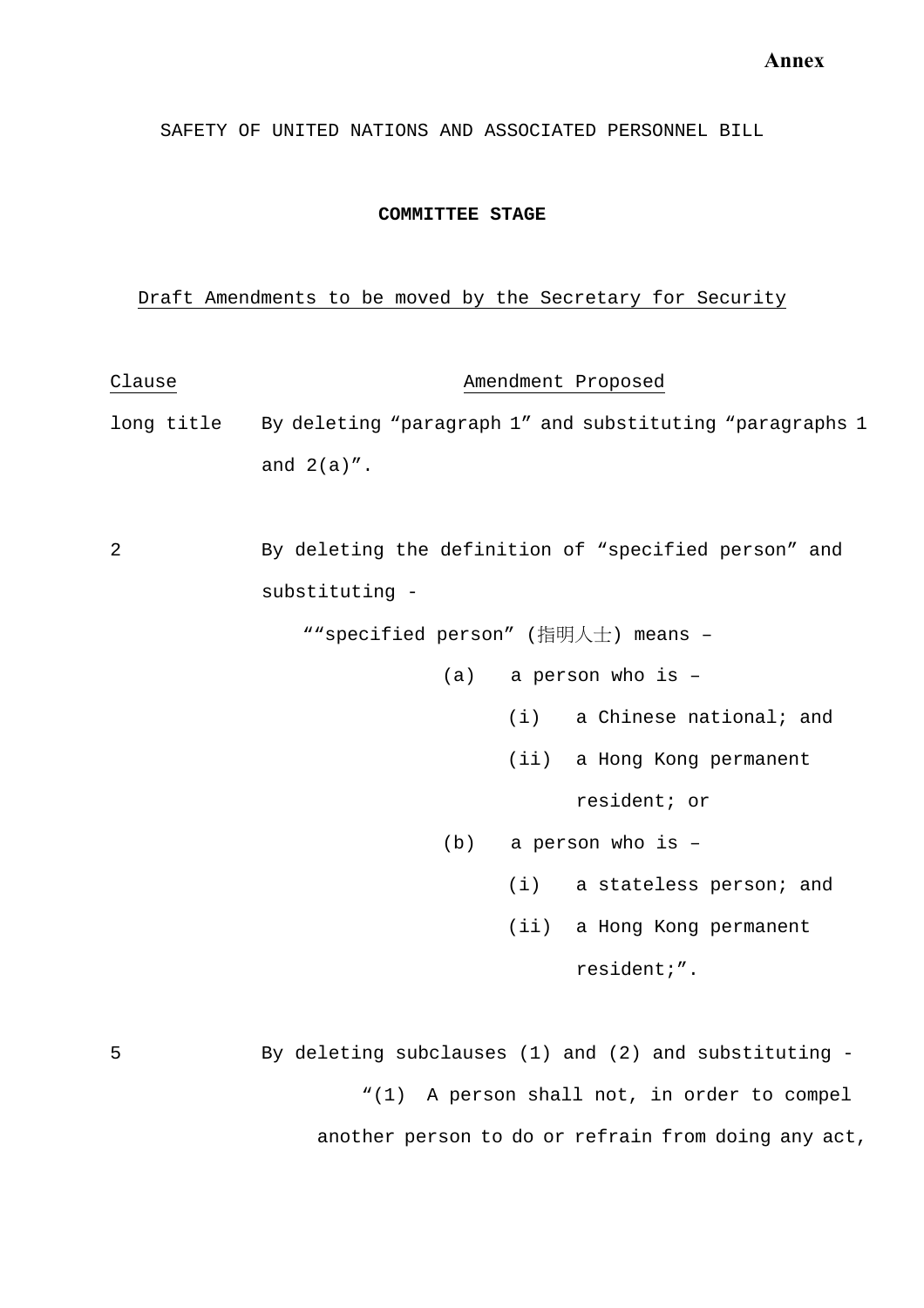SAFETY OF UNITED NATIONS AND ASSOCIATED PERSONNEL BILL

#### **COMMITTEE STAGE**

#### Draft Amendments to be moved by the Secretary for Security

Clause **Amendment** Proposed long title By deleting "paragraph 1" and substituting "paragraphs 1 and  $2(a)$ ". 2 By deleting the definition of "specified person" and substituting - ""specified person" (指明人士) means –

- (a) a person who is
	- (i) a Chinese national; and
	- (ii) a Hong Kong permanent

resident; or

- (b) a person who is
	- (i) a stateless person; and
	- (ii) a Hong Kong permanent

resident;".

5 By deleting subclauses (1) and (2) and substituting - "(1) A person shall not, in order to compel another person to do or refrain from doing any act,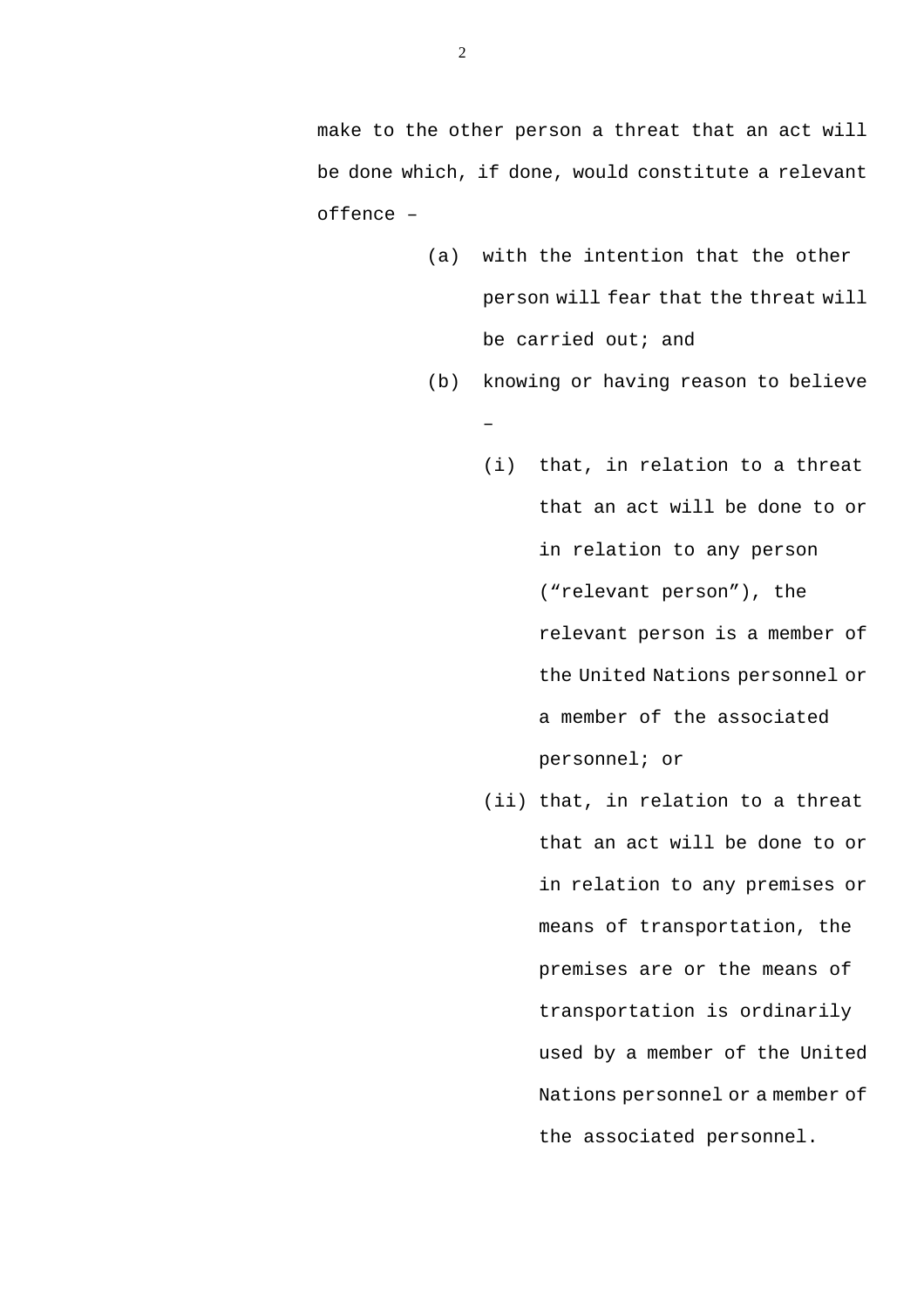make to the other person a threat that an act will be done which, if done, would constitute a relevant offence –

- (a) with the intention that the other person will fear that the threat will be carried out; and
- (b) knowing or having reason to believe –
	- (i) that, in relation to a threat that an act will be done to or in relation to any person ("relevant person"), the relevant person is a member of the United Nations personnel or a member of the associated personnel; or
	- (ii) that, in relation to a threat that an act will be done to or in relation to any premises or means of transportation, the premises are or the means of transportation is ordinarily used by a member of the United Nations personnel or a member of the associated personnel.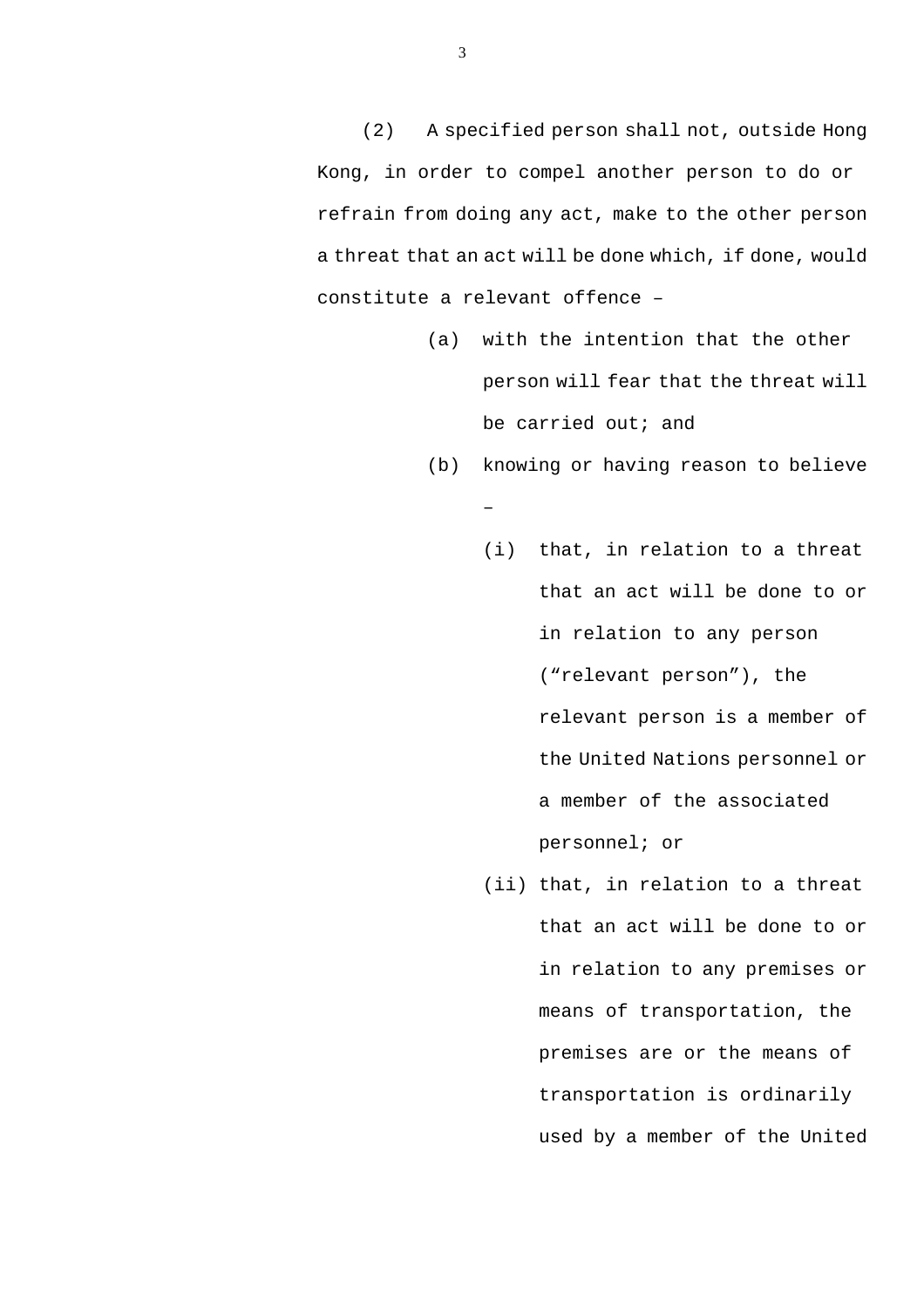(2) A specified person shall not, outside Hong Kong, in order to compel another person to do or refrain from doing any act, make to the other person a threat that an act will be done which, if done, would constitute a relevant offence –

- (a) with the intention that the other person will fear that the threat will be carried out; and
- (b) knowing or having reason to believe –
	- (i) that, in relation to a threat that an act will be done to or in relation to any person ("relevant person"), the relevant person is a member of the United Nations personnel or a member of the associated personnel; or
	- (ii) that, in relation to a threat that an act will be done to or in relation to any premises or means of transportation, the premises are or the means of transportation is ordinarily used by a member of the United